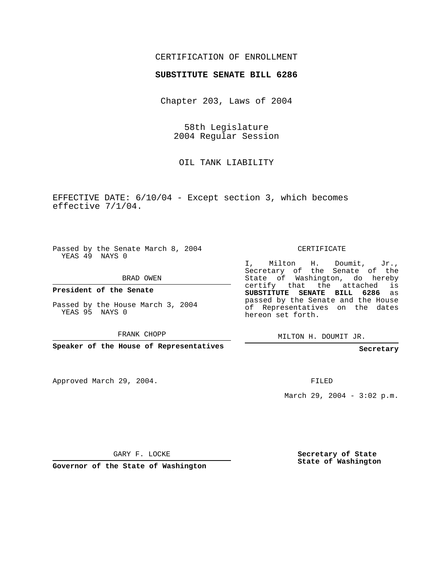## CERTIFICATION OF ENROLLMENT

## **SUBSTITUTE SENATE BILL 6286**

Chapter 203, Laws of 2004

58th Legislature 2004 Regular Session

OIL TANK LIABILITY

EFFECTIVE DATE: 6/10/04 - Except section 3, which becomes effective 7/1/04.

Passed by the Senate March 8, 2004 YEAS 49 NAYS 0

BRAD OWEN

**President of the Senate**

Passed by the House March 3, 2004 YEAS 95 NAYS 0

FRANK CHOPP

**Speaker of the House of Representatives**

Approved March 29, 2004.

CERTIFICATE

I, Milton H. Doumit, Jr., Secretary of the Senate of the State of Washington, do hereby certify that the attached is **SUBSTITUTE SENATE BILL 6286** as passed by the Senate and the House of Representatives on the dates hereon set forth.

MILTON H. DOUMIT JR.

**Secretary**

FILED

March 29, 2004 - 3:02 p.m.

GARY F. LOCKE

**Governor of the State of Washington**

**Secretary of State State of Washington**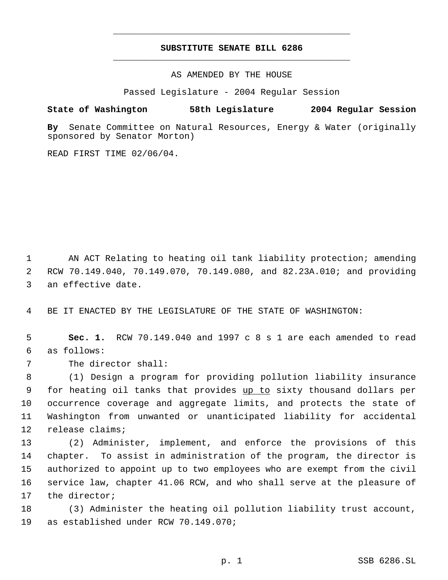## **SUBSTITUTE SENATE BILL 6286** \_\_\_\_\_\_\_\_\_\_\_\_\_\_\_\_\_\_\_\_\_\_\_\_\_\_\_\_\_\_\_\_\_\_\_\_\_\_\_\_\_\_\_\_\_

\_\_\_\_\_\_\_\_\_\_\_\_\_\_\_\_\_\_\_\_\_\_\_\_\_\_\_\_\_\_\_\_\_\_\_\_\_\_\_\_\_\_\_\_\_

AS AMENDED BY THE HOUSE

Passed Legislature - 2004 Regular Session

## **State of Washington 58th Legislature 2004 Regular Session**

**By** Senate Committee on Natural Resources, Energy & Water (originally sponsored by Senator Morton)

READ FIRST TIME 02/06/04.

 AN ACT Relating to heating oil tank liability protection; amending RCW 70.149.040, 70.149.070, 70.149.080, and 82.23A.010; and providing an effective date.

BE IT ENACTED BY THE LEGISLATURE OF THE STATE OF WASHINGTON:

 **Sec. 1.** RCW 70.149.040 and 1997 c 8 s 1 are each amended to read as follows:

The director shall:

 (1) Design a program for providing pollution liability insurance 9 for heating oil tanks that provides up to sixty thousand dollars per occurrence coverage and aggregate limits, and protects the state of Washington from unwanted or unanticipated liability for accidental release claims;

 (2) Administer, implement, and enforce the provisions of this chapter. To assist in administration of the program, the director is authorized to appoint up to two employees who are exempt from the civil service law, chapter 41.06 RCW, and who shall serve at the pleasure of the director;

 (3) Administer the heating oil pollution liability trust account, as established under RCW 70.149.070;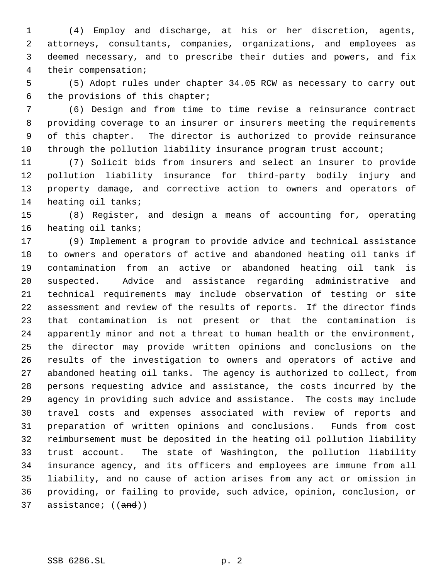(4) Employ and discharge, at his or her discretion, agents, attorneys, consultants, companies, organizations, and employees as deemed necessary, and to prescribe their duties and powers, and fix their compensation;

 (5) Adopt rules under chapter 34.05 RCW as necessary to carry out the provisions of this chapter;

 (6) Design and from time to time revise a reinsurance contract providing coverage to an insurer or insurers meeting the requirements of this chapter. The director is authorized to provide reinsurance 10 through the pollution liability insurance program trust account;

 (7) Solicit bids from insurers and select an insurer to provide pollution liability insurance for third-party bodily injury and property damage, and corrective action to owners and operators of heating oil tanks;

 (8) Register, and design a means of accounting for, operating heating oil tanks;

 (9) Implement a program to provide advice and technical assistance to owners and operators of active and abandoned heating oil tanks if contamination from an active or abandoned heating oil tank is suspected. Advice and assistance regarding administrative and technical requirements may include observation of testing or site assessment and review of the results of reports. If the director finds that contamination is not present or that the contamination is apparently minor and not a threat to human health or the environment, the director may provide written opinions and conclusions on the results of the investigation to owners and operators of active and abandoned heating oil tanks. The agency is authorized to collect, from persons requesting advice and assistance, the costs incurred by the agency in providing such advice and assistance. The costs may include travel costs and expenses associated with review of reports and preparation of written opinions and conclusions. Funds from cost reimbursement must be deposited in the heating oil pollution liability trust account. The state of Washington, the pollution liability insurance agency, and its officers and employees are immune from all liability, and no cause of action arises from any act or omission in providing, or failing to provide, such advice, opinion, conclusion, or 37 assistance; ((and))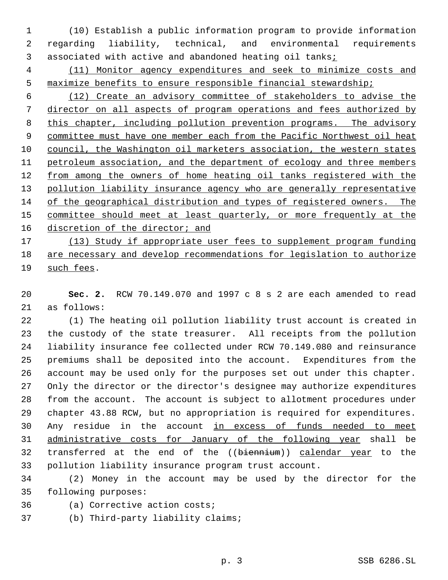(10) Establish a public information program to provide information regarding liability, technical, and environmental requirements associated with active and abandoned heating oil tanks;

 (11) Monitor agency expenditures and seek to minimize costs and maximize benefits to ensure responsible financial stewardship;

 (12) Create an advisory committee of stakeholders to advise the director on all aspects of program operations and fees authorized by this chapter, including pollution prevention programs. The advisory 9 committee must have one member each from the Pacific Northwest oil heat council, the Washington oil marketers association, the western states petroleum association, and the department of ecology and three members 12 from among the owners of home heating oil tanks registered with the 13 pollution liability insurance agency who are generally representative of the geographical distribution and types of registered owners. The 15 committee should meet at least quarterly, or more frequently at the 16 discretion of the director; and

 (13) Study if appropriate user fees to supplement program funding are necessary and develop recommendations for legislation to authorize such fees.

 **Sec. 2.** RCW 70.149.070 and 1997 c 8 s 2 are each amended to read as follows:

 (1) The heating oil pollution liability trust account is created in the custody of the state treasurer. All receipts from the pollution liability insurance fee collected under RCW 70.149.080 and reinsurance premiums shall be deposited into the account. Expenditures from the account may be used only for the purposes set out under this chapter. Only the director or the director's designee may authorize expenditures from the account. The account is subject to allotment procedures under chapter 43.88 RCW, but no appropriation is required for expenditures. 30 Any residue in the account in excess of funds needed to meet administrative costs for January of the following year shall be transferred at the end of the ((biennium)) calendar year to the pollution liability insurance program trust account.

 (2) Money in the account may be used by the director for the following purposes:

(a) Corrective action costs;

(b) Third-party liability claims;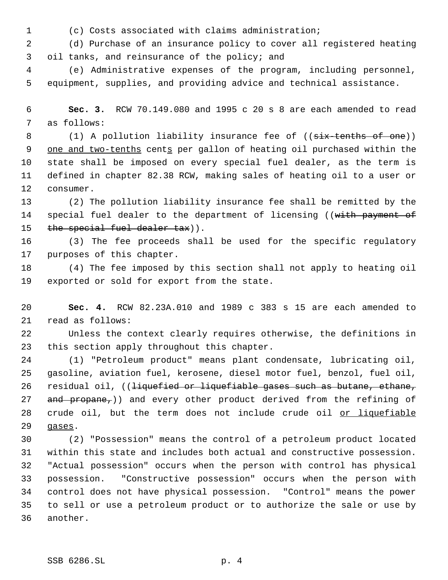- 
- (c) Costs associated with claims administration;

 (d) Purchase of an insurance policy to cover all registered heating oil tanks, and reinsurance of the policy; and

 (e) Administrative expenses of the program, including personnel, equipment, supplies, and providing advice and technical assistance.

 **Sec. 3.** RCW 70.149.080 and 1995 c 20 s 8 are each amended to read as follows:

8 (1) A pollution liability insurance fee of ((six-tenths of one)) 9 one and two-tenths cents per gallon of heating oil purchased within the state shall be imposed on every special fuel dealer, as the term is defined in chapter 82.38 RCW, making sales of heating oil to a user or consumer.

 (2) The pollution liability insurance fee shall be remitted by the 14 special fuel dealer to the department of licensing ((with payment of 15 the special fuel dealer tax)).

 (3) The fee proceeds shall be used for the specific regulatory purposes of this chapter.

 (4) The fee imposed by this section shall not apply to heating oil exported or sold for export from the state.

 **Sec. 4.** RCW 82.23A.010 and 1989 c 383 s 15 are each amended to read as follows:

 Unless the context clearly requires otherwise, the definitions in this section apply throughout this chapter.

 (1) "Petroleum product" means plant condensate, lubricating oil, gasoline, aviation fuel, kerosene, diesel motor fuel, benzol, fuel oil, 26 residual oil, ((<del>liquefied or liquefiable gases such as butane, ethane,</del> 27 and propane,)) and every other product derived from the refining of 28 crude oil, but the term does not include crude oil or liquefiable gases.

 (2) "Possession" means the control of a petroleum product located within this state and includes both actual and constructive possession. "Actual possession" occurs when the person with control has physical possession. "Constructive possession" occurs when the person with control does not have physical possession. "Control" means the power to sell or use a petroleum product or to authorize the sale or use by another.